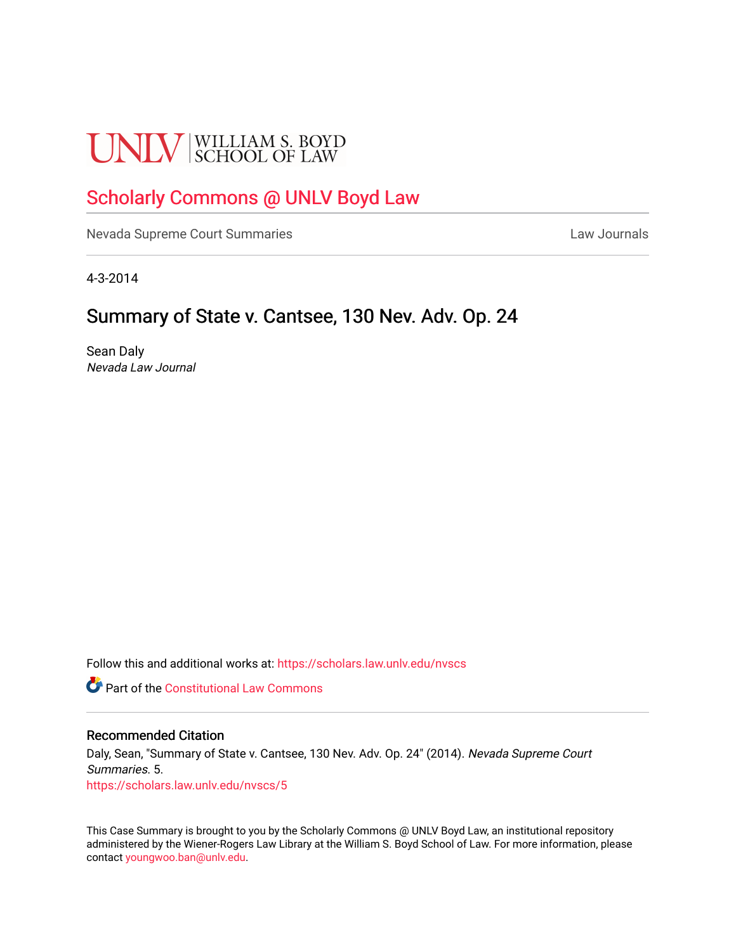# **UNLV** SCHOOL OF LAW

## [Scholarly Commons @ UNLV Boyd Law](https://scholars.law.unlv.edu/)

[Nevada Supreme Court Summaries](https://scholars.law.unlv.edu/nvscs) **Law Journals** Law Journals

4-3-2014

## Summary of State v. Cantsee, 130 Nev. Adv. Op. 24

Sean Daly Nevada Law Journal

Follow this and additional works at: [https://scholars.law.unlv.edu/nvscs](https://scholars.law.unlv.edu/nvscs?utm_source=scholars.law.unlv.edu%2Fnvscs%2F5&utm_medium=PDF&utm_campaign=PDFCoverPages)

**C** Part of the Constitutional Law Commons

#### Recommended Citation

Daly, Sean, "Summary of State v. Cantsee, 130 Nev. Adv. Op. 24" (2014). Nevada Supreme Court Summaries. 5. [https://scholars.law.unlv.edu/nvscs/5](https://scholars.law.unlv.edu/nvscs/5?utm_source=scholars.law.unlv.edu%2Fnvscs%2F5&utm_medium=PDF&utm_campaign=PDFCoverPages) 

This Case Summary is brought to you by the Scholarly Commons @ UNLV Boyd Law, an institutional repository administered by the Wiener-Rogers Law Library at the William S. Boyd School of Law. For more information, please contact [youngwoo.ban@unlv.edu](mailto:youngwoo.ban@unlv.edu).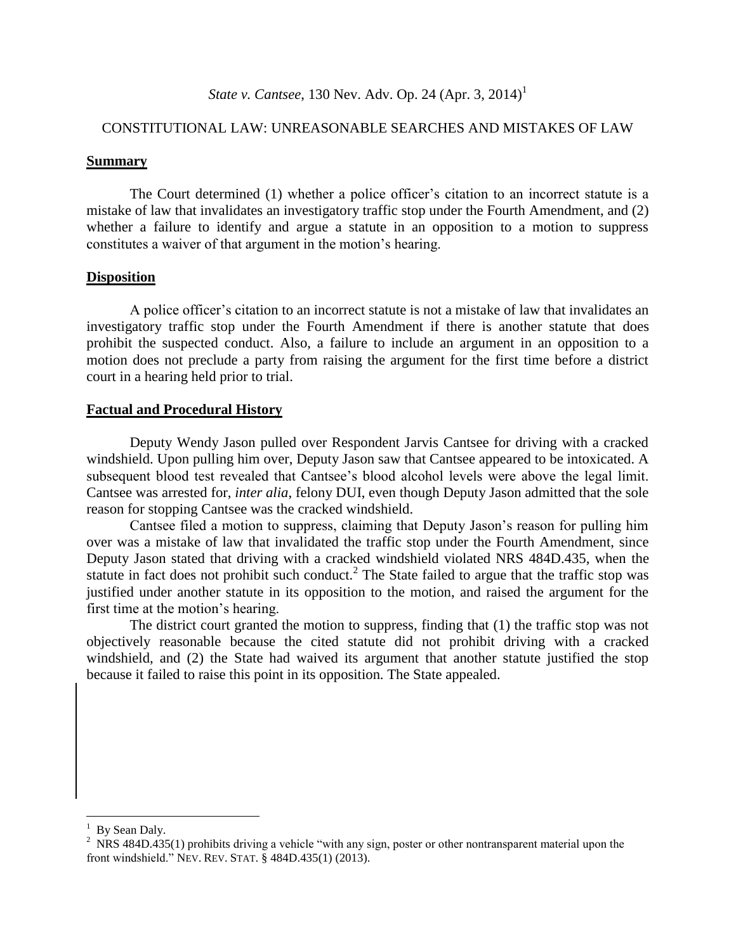### *State v. Cantsee*, 130 Nev. Adv. Op. 24 (Apr. 3, 2014) 1

#### CONSTITUTIONAL LAW: UNREASONABLE SEARCHES AND MISTAKES OF LAW

#### **Summary**

The Court determined (1) whether a police officer's citation to an incorrect statute is a mistake of law that invalidates an investigatory traffic stop under the Fourth Amendment, and (2) whether a failure to identify and argue a statute in an opposition to a motion to suppress constitutes a waiver of that argument in the motion's hearing.

#### **Disposition**

A police officer's citation to an incorrect statute is not a mistake of law that invalidates an investigatory traffic stop under the Fourth Amendment if there is another statute that does prohibit the suspected conduct. Also, a failure to include an argument in an opposition to a motion does not preclude a party from raising the argument for the first time before a district court in a hearing held prior to trial.

#### **Factual and Procedural History**

Deputy Wendy Jason pulled over Respondent Jarvis Cantsee for driving with a cracked windshield. Upon pulling him over, Deputy Jason saw that Cantsee appeared to be intoxicated. A subsequent blood test revealed that Cantsee's blood alcohol levels were above the legal limit. Cantsee was arrested for, *inter alia*, felony DUI, even though Deputy Jason admitted that the sole reason for stopping Cantsee was the cracked windshield.

Cantsee filed a motion to suppress, claiming that Deputy Jason's reason for pulling him over was a mistake of law that invalidated the traffic stop under the Fourth Amendment, since Deputy Jason stated that driving with a cracked windshield violated NRS 484D.435, when the statute in fact does not prohibit such conduct.<sup>2</sup> The State failed to argue that the traffic stop was justified under another statute in its opposition to the motion, and raised the argument for the first time at the motion's hearing.

The district court granted the motion to suppress, finding that (1) the traffic stop was not objectively reasonable because the cited statute did not prohibit driving with a cracked windshield, and (2) the State had waived its argument that another statute justified the stop because it failed to raise this point in its opposition. The State appealed.

 $\overline{a}$ 

 $<sup>1</sup>$  By Sean Daly.</sup>

<sup>&</sup>lt;sup>2</sup> NRS 484D.435(1) prohibits driving a vehicle "with any sign, poster or other nontransparent material upon the front windshield." NEV. REV. STAT. § 484D.435(1) (2013).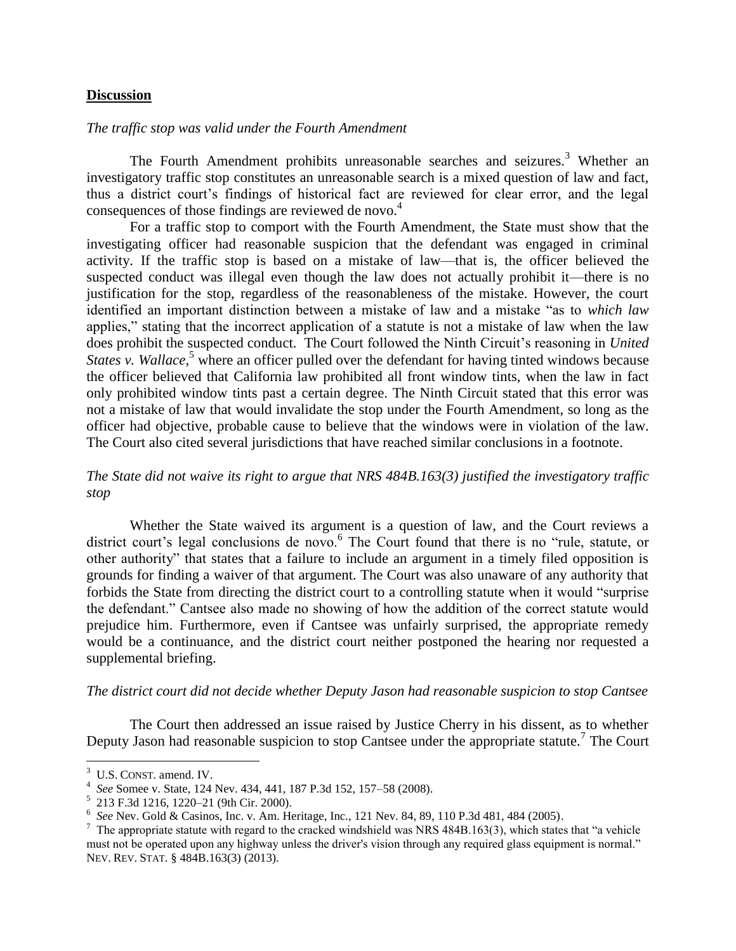#### **Discussion**

#### *The traffic stop was valid under the Fourth Amendment*

The Fourth Amendment prohibits unreasonable searches and seizures.<sup>3</sup> Whether an investigatory traffic stop constitutes an unreasonable search is a mixed question of law and fact, thus a district court's findings of historical fact are reviewed for clear error, and the legal consequences of those findings are reviewed de novo.<sup>4</sup>

For a traffic stop to comport with the Fourth Amendment, the State must show that the investigating officer had reasonable suspicion that the defendant was engaged in criminal activity. If the traffic stop is based on a mistake of law—that is, the officer believed the suspected conduct was illegal even though the law does not actually prohibit it—there is no justification for the stop, regardless of the reasonableness of the mistake. However, the court identified an important distinction between a mistake of law and a mistake "as to *which law* applies," stating that the incorrect application of a statute is not a mistake of law when the law does prohibit the suspected conduct. The Court followed the Ninth Circuit's reasoning in *United States v. Wallace*,<sup>5</sup> where an officer pulled over the defendant for having tinted windows because the officer believed that California law prohibited all front window tints, when the law in fact only prohibited window tints past a certain degree. The Ninth Circuit stated that this error was not a mistake of law that would invalidate the stop under the Fourth Amendment, so long as the officer had objective, probable cause to believe that the windows were in violation of the law. The Court also cited several jurisdictions that have reached similar conclusions in a footnote.

#### *The State did not waive its right to argue that NRS 484B.163(3) justified the investigatory traffic stop*

Whether the State waived its argument is a question of law, and the Court reviews a district court's legal conclusions de novo.<sup>6</sup> The Court found that there is no "rule, statute, or other authority" that states that a failure to include an argument in a timely filed opposition is grounds for finding a waiver of that argument. The Court was also unaware of any authority that forbids the State from directing the district court to a controlling statute when it would "surprise the defendant." Cantsee also made no showing of how the addition of the correct statute would prejudice him. Furthermore, even if Cantsee was unfairly surprised, the appropriate remedy would be a continuance, and the district court neither postponed the hearing nor requested a supplemental briefing.

#### *The district court did not decide whether Deputy Jason had reasonable suspicion to stop Cantsee*

The Court then addressed an issue raised by Justice Cherry in his dissent, as to whether Deputy Jason had reasonable suspicion to stop Cantsee under the appropriate statute.<sup>7</sup> The Court

 $\overline{a}$ 

<sup>&</sup>lt;sup>3</sup> U.S. CONST. amend. IV.

<sup>4</sup> *See* Somee v. State, 124 Nev. 434, 441, 187 P.3d 152, 157–58 (2008).

<sup>5</sup> 213 F.3d 1216, 1220–21 (9th Cir. 2000).

<sup>6</sup> *See* Nev. Gold & Casinos, Inc. v. Am. Heritage, Inc., 121 Nev. 84, 89, 110 P.3d 481, 484 (2005).

 $^7$  The appropriate statute with regard to the cracked windshield was NRS 484B.163(3), which states that "a vehicle must not be operated upon any highway unless the driver's vision through any required glass equipment is normal." NEV. REV. STAT. § 484B.163(3) (2013).